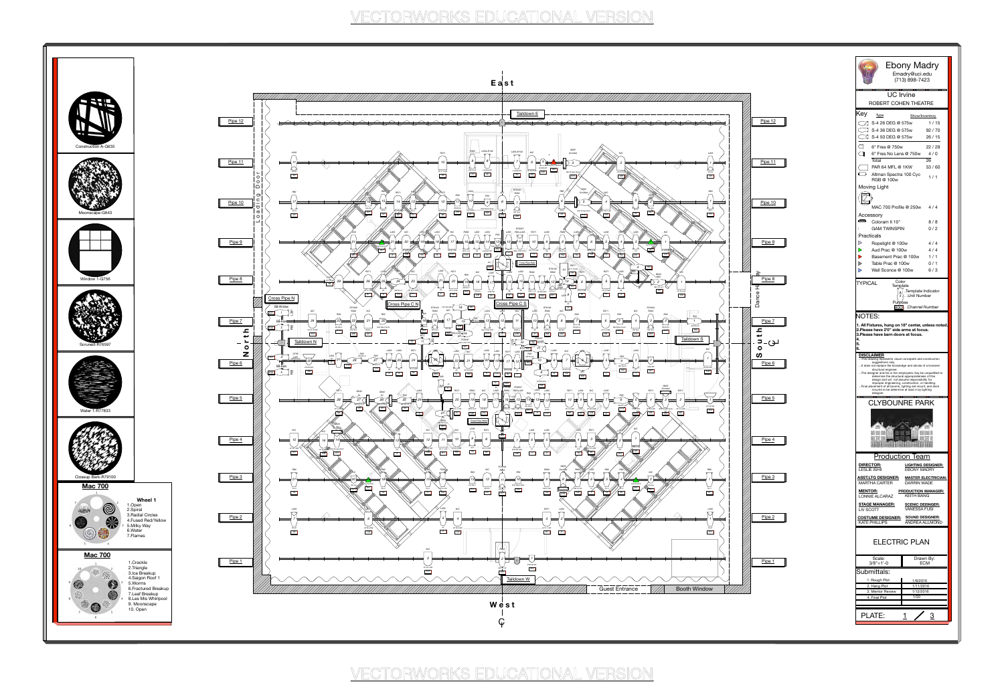## Ebony Madry Emadry@uci.edu

(713) 898-7423

ROBERT COHEN THEATRE

3

1 / 15  $\begin{array}{cc} \begin{array}{ccc} \hline \end{array}$  S-4 36 DEG @ 575w 92 / 70  $\circ$  S-4 50 DEG @ 575w 26 / 15  $\Box$  6" Fres @ 750w 22 / 28 6" Fres No Lens @ 750w 4 / 0 Total 26  $\Box$  PAR 64 MFL @ 1KW 53 / 60  $\begin{array}{c} \begin{array}{ccc} \bullet & \bullet \end{array} \end{array}$ Altman Spectra 100 Cyc  $1/1$ RGB @ 100w Moving Light  $\begin{picture}(40,40) \put(0,0){\line(1,0){155}} \put(15,0){\line(1,0){155}} \put(15,0){\line(1,0){155}} \put(15,0){\line(1,0){155}} \put(15,0){\line(1,0){155}} \put(15,0){\line(1,0){155}} \put(15,0){\line(1,0){155}} \put(15,0){\line(1,0){155}} \put(15,0){\line(1,0){155}} \put(15,0){\line(1,0){155}} \put(15,0){\line(1,0){155}} \$ MAC 700 Profile @ 250w 4 / 4 Accessory  $\sqrt{2}$  Coloram II 10" 8 / 8 GAM TWINSPIN  $0/2$ Practicals Ropelight @ 100w 4 / 4  $4/4$  $\triangleright$ Aud Prac @ 100w Basement Prac @ 100w  $1/1$  $0/1$  $\triangleright$ Table Prac @ 100w 6 / 3  $\triangleright$ Wall Sconce @ 100w Color TYPICAL **Template**  $_\Delta$  . Template Indicator  $\overline{\scriptscriptstyle\#}$  .) . .Unit Number Purpose 800 Channel Number NOTES: **1. All Fixtures , hung on 18" center, unless noted . 2.Please have 2'0" side arms at focus . 3.Please have barn doors at focus . 4. 5. 6. DISCLAIMER** .This drawing represents visual concepets and construction suggestions only. t does not replace the knowledge and advise of a licensec structural engineer. ...The designer and his or her employees may be unqualified to determine the structural appropriateness of this design and will not assume responsibility for improper engineering, construction, or handling. .Final placement of all booms, lighting set mount, and deck mounts to be determine at load in by lighting designer<br>**De de de de de** CLYBOUNRE PARK **Production Team LIGHTING DESIGNER: DIRECTOR:** EBONY MADRY LESLIE ISHII **ASST.LTG DESIGNER: MASTER ELECTRICIAN:** MARTHA CARTER DARRIN WADE **MENTOR: PRODUCTION MANAGER:** LONNIE ALCARAZ KEITH BANG **STAGE MANAGER: SCENIC DEISNGER:** LIV SCOTT VANESSA FUSI **COSTUME DESIGNER: SOUND DESIGNER:** KATE PHILLIPS ANDREA ALLMOND ELECTRIC PLAN Scale: Drawn By:<br>3/8"=1'-0 ECM  $3/8$ "=1'-0 Submittals: 1. Rough Plot  $\begin{array}{ccc} 1 & 1/8/2016 \end{array}$ 2. Hang Plot 1/11/2016 3. Mentor Review 1/12/2016 4. Final Plot 1/30

PLATE:







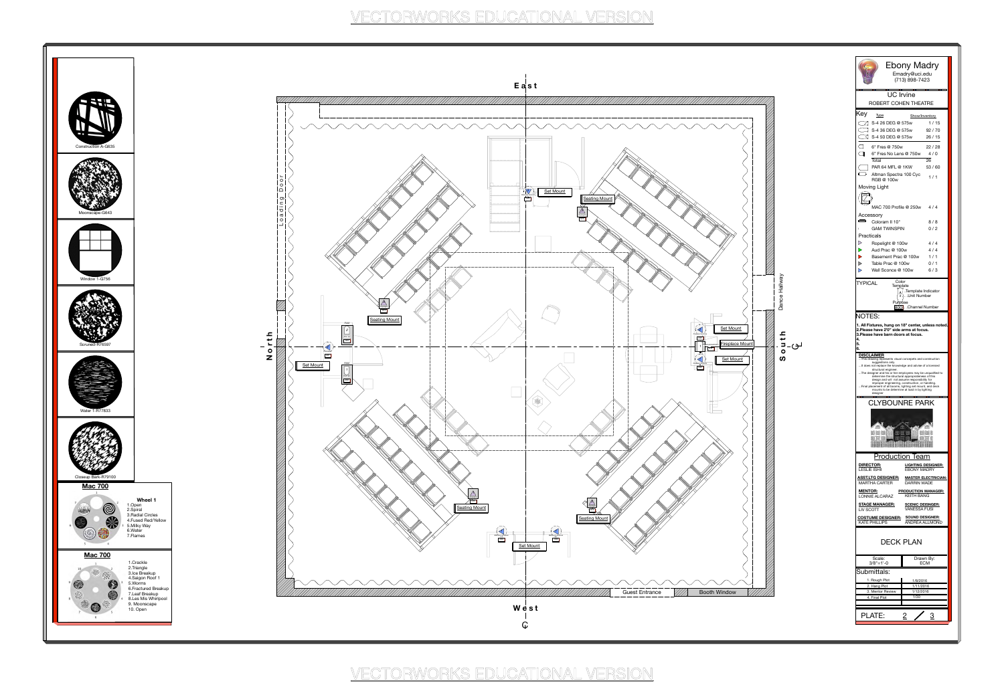|                                                                                                                                                                                                                                                                                                                                                                                                                                                                                 | <b>Ebony Madry</b><br>Emadry@uci.edu<br>(713) 898-7423 |
|---------------------------------------------------------------------------------------------------------------------------------------------------------------------------------------------------------------------------------------------------------------------------------------------------------------------------------------------------------------------------------------------------------------------------------------------------------------------------------|--------------------------------------------------------|
| <b>UC</b> Irvine                                                                                                                                                                                                                                                                                                                                                                                                                                                                |                                                        |
| ROBERT COHEN THEATRE                                                                                                                                                                                                                                                                                                                                                                                                                                                            |                                                        |
| Key<br><b>Type</b>                                                                                                                                                                                                                                                                                                                                                                                                                                                              | Show/Inventory                                         |
| $\mathbb{Z}$ S-4 26 DEG @ 575w<br><b>S-4 36 DEG @ 575w</b>                                                                                                                                                                                                                                                                                                                                                                                                                      | 1/15<br>92/70                                          |
| ∑ S-4 50 DEG @ 575w                                                                                                                                                                                                                                                                                                                                                                                                                                                             | 26/15                                                  |
| $\langle \;\;  $<br>6" Fres @ 750w                                                                                                                                                                                                                                                                                                                                                                                                                                              | 22/28                                                  |
| 6" Fres No Lens @ 750w                                                                                                                                                                                                                                                                                                                                                                                                                                                          | 4/0                                                    |
| Total<br>PAR 64 MFL @ 1KW                                                                                                                                                                                                                                                                                                                                                                                                                                                       | 26<br>53/60                                            |
| Altman Spectra 100 Cyc<br>RGB @ 100w                                                                                                                                                                                                                                                                                                                                                                                                                                            | 1/1                                                    |
| Moving Light                                                                                                                                                                                                                                                                                                                                                                                                                                                                    |                                                        |
|                                                                                                                                                                                                                                                                                                                                                                                                                                                                                 |                                                        |
|                                                                                                                                                                                                                                                                                                                                                                                                                                                                                 | MAC 700 Profile @ 250w 4/4                             |
| Accessory<br>$\circ$ $\circ$                                                                                                                                                                                                                                                                                                                                                                                                                                                    |                                                        |
| Coloram II 10"<br><b>GAM TWINSPIN</b><br>L                                                                                                                                                                                                                                                                                                                                                                                                                                      | 8 / 8<br>0/2                                           |
| Practicals                                                                                                                                                                                                                                                                                                                                                                                                                                                                      |                                                        |
| $\triangleright$<br>Ropelight @ 100w<br>$\blacktriangleright$<br>Aud Prac @ 100w                                                                                                                                                                                                                                                                                                                                                                                                | 4/4<br>4 / 4                                           |
| $\blacktriangleright$<br>Basement Prac @ 100w                                                                                                                                                                                                                                                                                                                                                                                                                                   | 1 / 1                                                  |
| $\triangleright$<br>Table Prac @ 100w<br>$\triangleright$                                                                                                                                                                                                                                                                                                                                                                                                                       | 0/1                                                    |
| Wall Sconce @ 100w                                                                                                                                                                                                                                                                                                                                                                                                                                                              | 6/3                                                    |
| Color<br><b>TYPICAL</b><br>Template<br>$#$ .                                                                                                                                                                                                                                                                                                                                                                                                                                    | .Template Indicator<br>. . Unit Number                 |
| Purpose                                                                                                                                                                                                                                                                                                                                                                                                                                                                         | 800. Channel Number                                    |
| 4.<br>5.<br>6.                                                                                                                                                                                                                                                                                                                                                                                                                                                                  |                                                        |
| <b>DISCLAIMER</b><br>This drawing represents visual concepets and construction<br>suggestions only.<br>It does not replace the knowledge and advise of a licensed<br>structural engineer.<br>The designer and his or her employees may be unqualified to<br>determine the structural appropriateness of this<br>design and will not assume responsibility for<br>improper engineering, construction, or handling.<br>Final placement of all booms, lighting set mount, and deck |                                                        |
| mounts to be determine at load in by lighting<br>desianer<br><b>CLYBOUNRE PARK</b>                                                                                                                                                                                                                                                                                                                                                                                              |                                                        |
| 用用<br>T.                                                                                                                                                                                                                                                                                                                                                                                                                                                                        | H                                                      |
| <b>Production Team</b><br><b>DIRECTOR:</b>                                                                                                                                                                                                                                                                                                                                                                                                                                      | <b>LIGHTING DESIGNER:</b>                              |
| <b>LESLIE ISHII</b><br><b>ASST.LTG DESIGNER:</b>                                                                                                                                                                                                                                                                                                                                                                                                                                | <b>EBONY MADRY</b><br><b>MASTER ELECTRICIAN:</b>       |
| <b>MARTHA CARTER</b>                                                                                                                                                                                                                                                                                                                                                                                                                                                            | <b>DARRIN WADE</b><br><b>PRODUCTION MANAGER:</b>       |
| <b>MENTOR:</b><br><b>LONNIE ALCARAZ</b>                                                                                                                                                                                                                                                                                                                                                                                                                                         | <b>KEITH BANG</b>                                      |
| <b>STAGE MANAGER:</b><br>LIV SCOTT                                                                                                                                                                                                                                                                                                                                                                                                                                              | <b>SCENIC DEISNGER:</b><br><b>VANESSA FUSI</b>         |
| <b>COSTUME DESIGNER:</b>                                                                                                                                                                                                                                                                                                                                                                                                                                                        | <b>SOUND DESIGNER:</b>                                 |
| <b>KATE PHILLIPS</b><br>DECK PLAN                                                                                                                                                                                                                                                                                                                                                                                                                                               | <b>ANDREA ALLMOND</b>                                  |
|                                                                                                                                                                                                                                                                                                                                                                                                                                                                                 |                                                        |
| Scale:<br>$3/8" = 1'-0$                                                                                                                                                                                                                                                                                                                                                                                                                                                         | Drawn By:<br><b>ECM</b>                                |
| Submittals:                                                                                                                                                                                                                                                                                                                                                                                                                                                                     |                                                        |
| 1. Rough Plot<br>2. Hang Plot                                                                                                                                                                                                                                                                                                                                                                                                                                                   | 1/8/2016<br>1/11/2016                                  |
| 3. Mentor Review                                                                                                                                                                                                                                                                                                                                                                                                                                                                | 1/12/2016                                              |
| 4. Final Plot                                                                                                                                                                                                                                                                                                                                                                                                                                                                   | 1/30                                                   |
| <b>PLATE:</b>                                                                                                                                                                                                                                                                                                                                                                                                                                                                   | $\overline{2}$                                         |